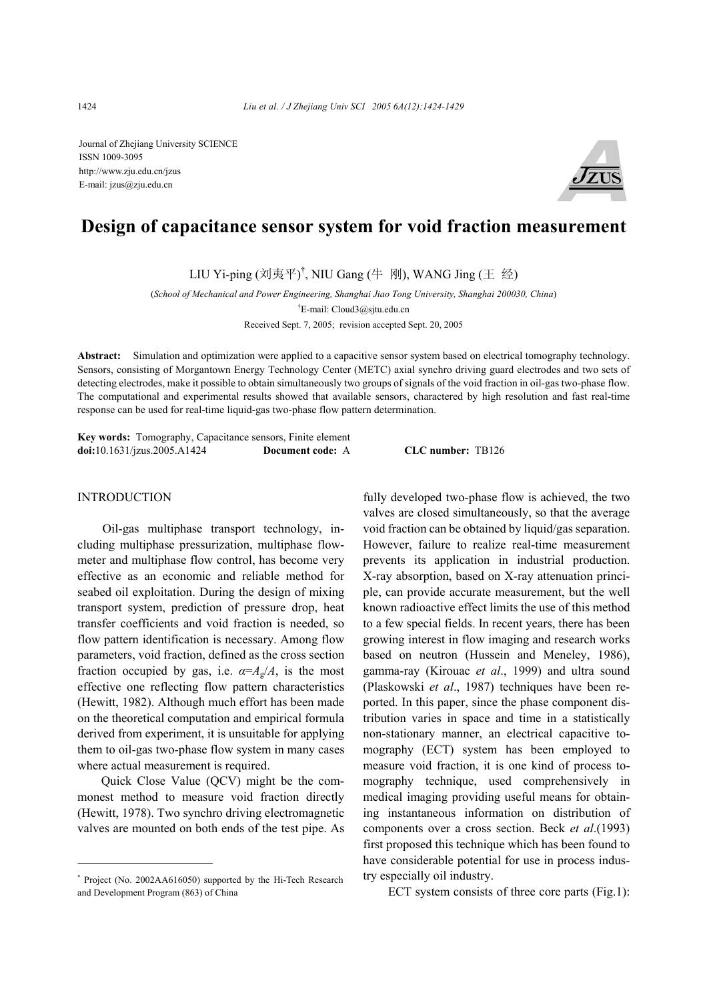Journal of Zhejiang University SCIENCE ISSN 1009-3095 http://www.zju.edu.cn/jzus E-mail: jzus@zju.edu.cn



# **Design of capacitance sensor system for void fraction measurement**

LIU Yi-ping (刘夷平)<sup>†</sup>, NIU Gang (牛 刚), WANG Jing (王 经)

(*School of Mechanical and Power Engineering, Shanghai Jiao Tong University, Shanghai 200030, China*) † E-mail: Cloud3@sjtu.edu.cn Received Sept. 7, 2005; revision accepted Sept. 20, 2005

**Abstract:** Simulation and optimization were applied to a capacitive sensor system based on electrical tomography technology. Sensors, consisting of Morgantown Energy Technology Center (METC) axial synchro driving guard electrodes and two sets of detecting electrodes, make it possible to obtain simultaneously two groups of signals of the void fraction in oil-gas two-phase flow. The computational and experimental results showed that available sensors, charactered by high resolution and fast real-time response can be used for real-time liquid-gas two-phase flow pattern determination.

**Key words:** Tomography, Capacitance sensors, Finite element **doi:**10.1631/jzus.2005.A1424 **Document code:** A **CLC number:** TB126

## INTRODUCTION

Oil-gas multiphase transport technology, including multiphase pressurization, multiphase flowmeter and multiphase flow control, has become very effective as an economic and reliable method for seabed oil exploitation. During the design of mixing transport system, prediction of pressure drop, heat transfer coefficients and void fraction is needed, so flow pattern identification is necessary. Among flow parameters, void fraction, defined as the cross section fraction occupied by gas, i.e.  $\alpha = A_{\alpha}/A$ , is the most effective one reflecting flow pattern characteristics (Hewitt, 1982). Although much effort has been made on the theoretical computation and empirical formula derived from experiment, it is unsuitable for applying them to oil-gas two-phase flow system in many cases where actual measurement is required.

Quick Close Value (QCV) might be the commonest method to measure void fraction directly (Hewitt, 1978). Two synchro driving electromagnetic valves are mounted on both ends of the test pipe. As fully developed two-phase flow is achieved, the two valves are closed simultaneously, so that the average void fraction can be obtained by liquid/gas separation. However, failure to realize real-time measurement prevents its application in industrial production. X-ray absorption, based on X-ray attenuation principle, can provide accurate measurement, but the well known radioactive effect limits the use of this method to a few special fields. In recent years, there has been growing interest in flow imaging and research works based on neutron (Hussein and Meneley, 1986), gamma-ray (Kirouac *et al*., 1999) and ultra sound (Plaskowski *et al*., 1987) techniques have been reported. In this paper, since the phase component distribution varies in space and time in a statistically non-stationary manner, an electrical capacitive tomography (ECT) system has been employed to measure void fraction, it is one kind of process tomography technique, used comprehensively in medical imaging providing useful means for obtaining instantaneous information on distribution of components over a cross section. Beck *et al*.(1993) first proposed this technique which has been found to have considerable potential for use in process industry especially oil industry.

ECT system consists of three core parts (Fig.1):

<sup>\*</sup> Project (No. 2002AA616050) supported by the Hi-Tech Research and Development Program (863) of China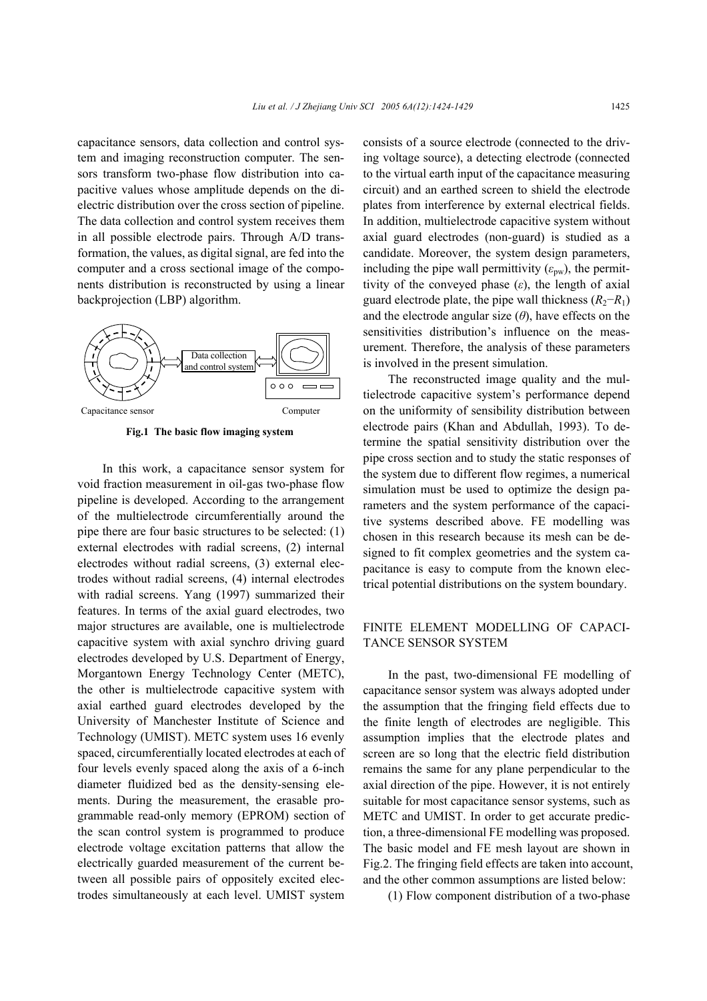capacitance sensors, data collection and control system and imaging reconstruction computer. The sensors transform two-phase flow distribution into capacitive values whose amplitude depends on the dielectric distribution over the cross section of pipeline. The data collection and control system receives them in all possible electrode pairs. Through A/D transformation, the values, as digital signal, are fed into the computer and a cross sectional image of the components distribution is reconstructed by using a linear backprojection (LBP) algorithm.



**Fig.1 The basic flow imaging system** 

In this work, a capacitance sensor system for void fraction measurement in oil-gas two-phase flow pipeline is developed. According to the arrangement of the multielectrode circumferentially around the pipe there are four basic structures to be selected: (1) external electrodes with radial screens, (2) internal electrodes without radial screens, (3) external electrodes without radial screens, (4) internal electrodes with radial screens. Yang (1997) summarized their features. In terms of the axial guard electrodes, two major structures are available, one is multielectrode capacitive system with axial synchro driving guard electrodes developed by U.S. Department of Energy, Morgantown Energy Technology Center (METC), the other is multielectrode capacitive system with axial earthed guard electrodes developed by the University of Manchester Institute of Science and Technology (UMIST). METC system uses 16 evenly spaced, circumferentially located electrodes at each of four levels evenly spaced along the axis of a 6-inch diameter fluidized bed as the density-sensing elements. During the measurement, the erasable programmable read-only memory (EPROM) section of the scan control system is programmed to produce electrode voltage excitation patterns that allow the electrically guarded measurement of the current between all possible pairs of oppositely excited electrodes simultaneously at each level. UMIST system

consists of a source electrode (connected to the driving voltage source), a detecting electrode (connected to the virtual earth input of the capacitance measuring circuit) and an earthed screen to shield the electrode plates from interference by external electrical fields. In addition, multielectrode capacitive system without axial guard electrodes (non-guard) is studied as a candidate. Moreover, the system design parameters, including the pipe wall permittivity  $(\varepsilon_{\text{pw}})$ , the permittivity of the conveyed phase  $(\varepsilon)$ , the length of axial guard electrode plate, the pipe wall thickness  $(R_2-R_1)$ and the electrode angular size  $(\theta)$ , have effects on the sensitivities distribution's influence on the measurement. Therefore, the analysis of these parameters is involved in the present simulation.

The reconstructed image quality and the multielectrode capacitive system's performance depend on the uniformity of sensibility distribution between electrode pairs (Khan and Abdullah, 1993). To determine the spatial sensitivity distribution over the pipe cross section and to study the static responses of the system due to different flow regimes, a numerical simulation must be used to optimize the design parameters and the system performance of the capacitive systems described above. FE modelling was chosen in this research because its mesh can be designed to fit complex geometries and the system capacitance is easy to compute from the known electrical potential distributions on the system boundary.

# FINITE ELEMENT MODELLING OF CAPACI-TANCE SENSOR SYSTEM

In the past, two-dimensional FE modelling of capacitance sensor system was always adopted under the assumption that the fringing field effects due to the finite length of electrodes are negligible. This assumption implies that the electrode plates and screen are so long that the electric field distribution remains the same for any plane perpendicular to the axial direction of the pipe. However, it is not entirely suitable for most capacitance sensor systems, such as METC and UMIST. In order to get accurate prediction, a three-dimensional FE modelling was proposed. The basic model and FE mesh layout are shown in Fig.2. The fringing field effects are taken into account, and the other common assumptions are listed below:

(1) Flow component distribution of a two-phase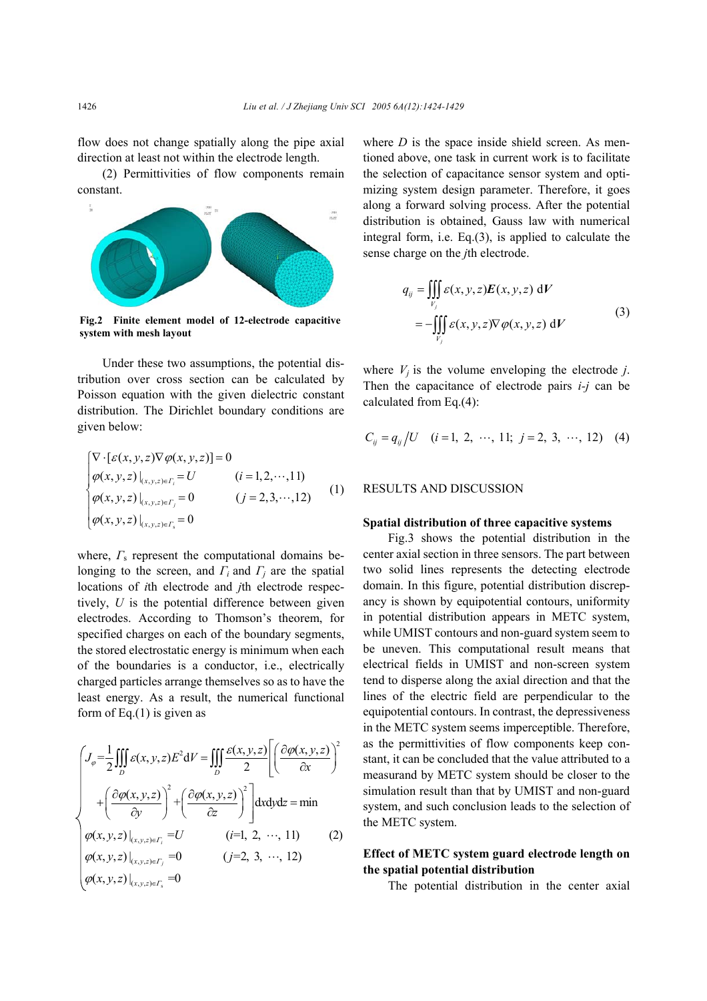flow does not change spatially along the pipe axial direction at least not within the electrode length.

(2) Permittivities of flow components remain constant.



**Fig.2 Finite element model of 12-electrode capacitive system with mesh layout**

Under these two assumptions, the potential distribution over cross section can be calculated by Poisson equation with the given dielectric constant distribution. The Dirichlet boundary conditions are given below:

$$
\begin{cases}\n\nabla \cdot [\varepsilon(x, y, z) \nabla \varphi(x, y, z)] = 0 \\
\varphi(x, y, z)|_{(x, y, z) \in \Gamma_i} = U & (i = 1, 2, \cdots, 11) \\
\varphi(x, y, z)|_{(x, y, z) \in \Gamma_j} = 0 & (j = 2, 3, \cdots, 12) \\
\varphi(x, y, z)|_{(x, y, z) \in \Gamma_s} = 0\n\end{cases}
$$
\n(1)

where,  $\Gamma$ <sub>s</sub> represent the computational domains belonging to the screen, and  $\Gamma$ <sup>*i*</sup> and  $\Gamma$ <sup>*j*</sup> are the spatial locations of *i*th electrode and *j*th electrode respectively, *U* is the potential difference between given electrodes. According to Thomson's theorem, for specified charges on each of the boundary segments, the stored electrostatic energy is minimum when each of the boundaries is a conductor, i.e., electrically charged particles arrange themselves so as to have the least energy. As a result, the numerical functional form of Eq. $(1)$  is given as

$$
\begin{pmatrix}\nJ_{\varphi} = \frac{1}{2} \iiint_D \varepsilon(x, y, z) E^2 dV = \iiint_D \frac{\varepsilon(x, y, z)}{2} \left[ \left( \frac{\partial \varphi(x, y, z)}{\partial x} \right)^2 + \left( \frac{\partial \varphi(x, y, z)}{\partial y} \right)^2 + \left( \frac{\partial \varphi(x, y, z)}{\partial z} \right)^2 \right] dxdydz = \min \\
\varphi(x, y, z)|_{(x, y, z) \in \Gamma_i} = U \qquad (i=1, 2, \dots, 11) \\
\varphi(x, y, z)|_{(x, y, z) \in \Gamma_j} = 0 \qquad (j=2, 3, \dots, 12) \\
\varphi(x, y, z)|_{(x, y, z) \in \Gamma_j} = 0 \qquad (j=2, 3, \dots, 12)\n\end{pmatrix}
$$

where  $D$  is the space inside shield screen. As mentioned above, one task in current work is to facilitate the selection of capacitance sensor system and optimizing system design parameter. Therefore, it goes along a forward solving process. After the potential distribution is obtained, Gauss law with numerical integral form, i.e. Eq.(3), is applied to calculate the sense charge on the *j*th electrode.

$$
q_{ij} = \iiint\limits_{V_j} \varepsilon(x, y, z) E(x, y, z) dV
$$
  
= 
$$
-\iiint\limits_{V_j} \varepsilon(x, y, z) \nabla \varphi(x, y, z) dV
$$
 (3)

where  $V_i$  is the volume enveloping the electrode  $j$ . Then the capacitance of electrode pairs *i-j* can be calculated from Eq.(4):

$$
C_{ij} = q_{ij}/U \quad (i = 1, 2, \cdots, 11; j = 2, 3, \cdots, 12) \quad (4)
$$

# RESULTS AND DISCUSSION

#### **Spatial distribution of three capacitive systems**

Fig.3 shows the potential distribution in the center axial section in three sensors. The part between two solid lines represents the detecting electrode domain. In this figure, potential distribution discrepancy is shown by equipotential contours, uniformity in potential distribution appears in METC system, while UMIST contours and non-guard system seem to be uneven. This computational result means that electrical fields in UMIST and non-screen system tend to disperse along the axial direction and that the lines of the electric field are perpendicular to the equipotential contours. In contrast, the depressiveness in the METC system seems imperceptible. Therefore, as the permittivities of flow components keep constant, it can be concluded that the value attributed to a measurand by METC system should be closer to the simulation result than that by UMIST and non-guard system, and such conclusion leads to the selection of the METC system.

# **Effect of METC system guard electrode length on the spatial potential distribution**

The potential distribution in the center axial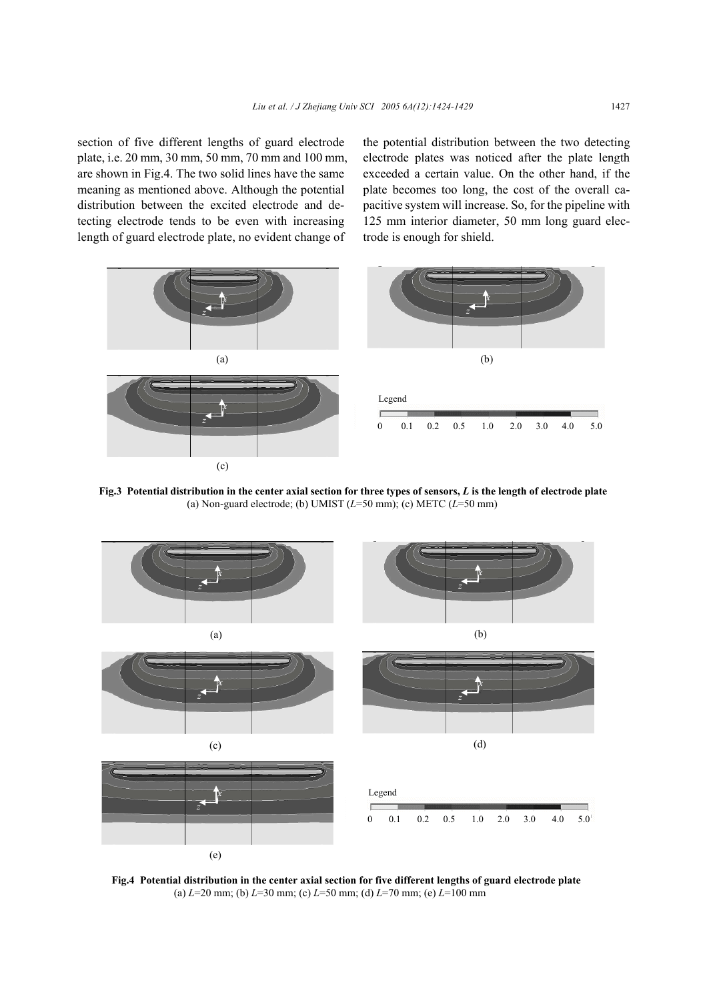section of five different lengths of guard electrode plate, i.e. 20 mm, 30 mm, 50 mm, 70 mm and 100 mm, are shown in Fig.4. The two solid lines have the same meaning as mentioned above. Although the potential distribution between the excited electrode and detecting electrode tends to be even with increasing length of guard electrode plate, no evident change of

the potential distribution between the two detecting electrode plates was noticed after the plate length exceeded a certain value. On the other hand, if the plate becomes too long, the cost of the overall capacitive system will increase. So, for the pipeline with 125 mm interior diameter, 50 mm long guard electrode is enough for shield.



**Fig.3 Potential distribution in the center axial section for three types of sensors,** *L* **is the length of electrode plate**  (a) Non-guard electrode; (b) UMIST (*L*=50 mm); (c) METC (*L*=50 mm)



**Fig.4 Potential distribution in the center axial section for five different lengths of guard electrode plate**  (a) *L*=20 mm; (b) *L*=30 mm; (c) *L*=50 mm; (d) *L*=70 mm; (e) *L*=100 mm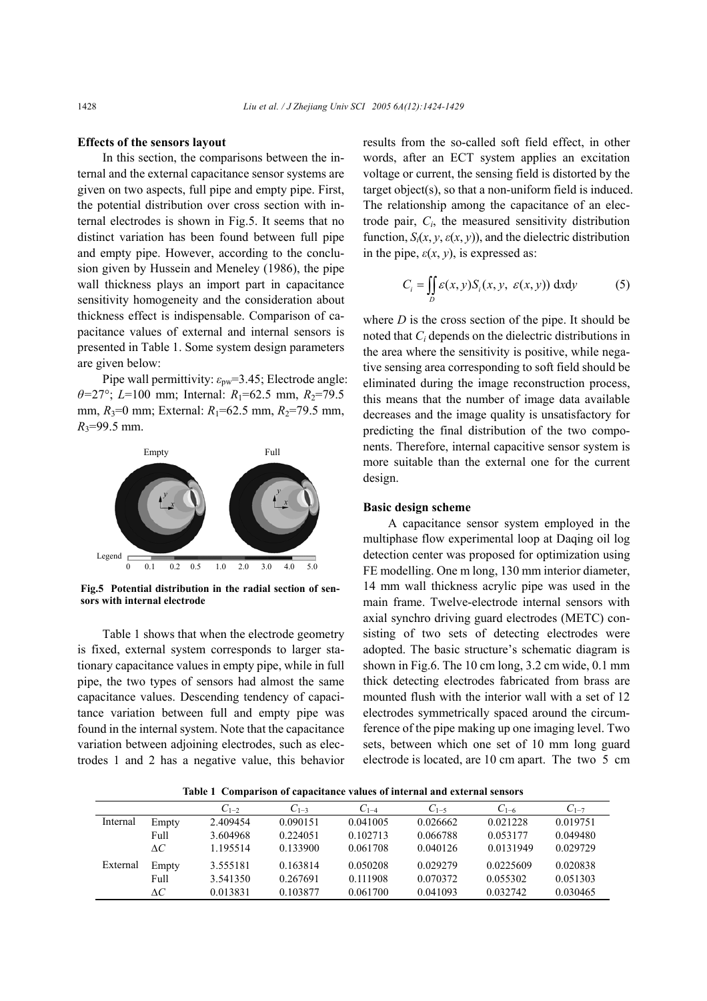## **Effects of the sensors layout**

In this section, the comparisons between the internal and the external capacitance sensor systems are given on two aspects, full pipe and empty pipe. First, the potential distribution over cross section with internal electrodes is shown in Fig.5. It seems that no distinct variation has been found between full pipe and empty pipe. However, according to the conclusion given by Hussein and Meneley (1986), the pipe wall thickness plays an import part in capacitance sensitivity homogeneity and the consideration about thickness effect is indispensable. Comparison of capacitance values of external and internal sensors is presented in Table 1. Some system design parameters are given below:

Pipe wall permittivity: *ε*pw=3.45; Electrode angle: *θ*=27°; *L*=100 mm; Internal: *R*<sub>1</sub>=62.5 mm, *R*<sub>2</sub>=79.5 mm,  $R_3=0$  mm; External:  $R_1=62.5$  mm,  $R_2=79.5$  mm,  $R_3$ =99.5 mm.



**Fig.5 Potential distribution in the radial section of sensors with internal electrode** 

Table 1 shows that when the electrode geometry is fixed, external system corresponds to larger stationary capacitance values in empty pipe, while in full pipe, the two types of sensors had almost the same capacitance values. Descending tendency of capacitance variation between full and empty pipe was found in the internal system. Note that the capacitance variation between adjoining electrodes, such as electrodes 1 and 2 has a negative value, this behavior results from the so-called soft field effect, in other words, after an ECT system applies an excitation voltage or current, the sensing field is distorted by the target object(s), so that a non-uniform field is induced. The relationship among the capacitance of an electrode pair, *Ci*, the measured sensitivity distribution function,  $S_i(x, y, \varepsilon(x, y))$ , and the dielectric distribution in the pipe,  $\varepsilon(x, y)$ , is expressed as:

$$
C_i = \iint_D \varepsilon(x, y) S_i(x, y, \varepsilon(x, y)) \, dxdy \tag{5}
$$

where  $D$  is the cross section of the pipe. It should be noted that *Ci* depends on the dielectric distributions in the area where the sensitivity is positive, while negative sensing area corresponding to soft field should be eliminated during the image reconstruction process, this means that the number of image data available decreases and the image quality is unsatisfactory for predicting the final distribution of the two components. Therefore, internal capacitive sensor system is more suitable than the external one for the current design.

## **Basic design scheme**

A capacitance sensor system employed in the multiphase flow experimental loop at Daqing oil log detection center was proposed for optimization using FE modelling. One m long, 130 mm interior diameter, 14 mm wall thickness acrylic pipe was used in the main frame. Twelve-electrode internal sensors with axial synchro driving guard electrodes (METC) consisting of two sets of detecting electrodes were adopted. The basic structure's schematic diagram is shown in Fig.6. The 10 cm long, 3.2 cm wide, 0.1 mm thick detecting electrodes fabricated from brass are mounted flush with the interior wall with a set of 12 electrodes symmetrically spaced around the circumference of the pipe making up one imaging level. Two sets, between which one set of 10 mm long guard electrode is located, are 10 cm apart. The two 5 cm

**Table 1 Comparison of capacitance values of internal and external sensors** 

|          |            | $C_{1-2}$ | $C_{1-3}$ | $C_{1-4}$ | $C_{1-5}$ | $C_{1-6}$ | $C_{1-7}$ |
|----------|------------|-----------|-----------|-----------|-----------|-----------|-----------|
| Internal | Empty      | 2.409454  | 0.090151  | 0.041005  | 0.026662  | 0.021228  | 0.019751  |
|          | Full       | 3.604968  | 0.224051  | 0.102713  | 0.066788  | 0.053177  | 0.049480  |
|          | АC         | 1.195514  | 0.133900  | 0.061708  | 0.040126  | 0.0131949 | 0.029729  |
| External | Empty      | 3.555181  | 0.163814  | 0.050208  | 0.029279  | 0.0225609 | 0.020838  |
|          | Full       | 3.541350  | 0.267691  | 0.111908  | 0.070372  | 0.055302  | 0.051303  |
|          | $\Delta C$ | 0.013831  | 0.103877  | 0.061700  | 0.041093  | 0.032742  | 0.030465  |